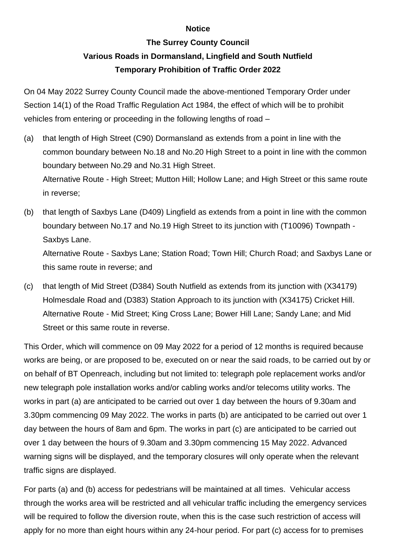## **Notice**

## **The Surrey County Council**

## **Various Roads in Dormansland, Lingfield and South Nutfield Temporary Prohibition of Traffic Order 2022**

On 04 May 2022 Surrey County Council made the above-mentioned Temporary Order under Section 14(1) of the Road Traffic Regulation Act 1984, the effect of which will be to prohibit vehicles from entering or proceeding in the following lengths of road –

- (a) that length of High Street (C90) Dormansland as extends from a point in line with the common boundary between No.18 and No.20 High Street to a point in line with the common boundary between No.29 and No.31 High Street. Alternative Route - High Street; Mutton Hill; Hollow Lane; and High Street or this same route in reverse;
- (b) that length of Saxbys Lane (D409) Lingfield as extends from a point in line with the common boundary between No.17 and No.19 High Street to its junction with (T10096) Townpath - Saxbys Lane.

Alternative Route - Saxbys Lane; Station Road; Town Hill; Church Road; and Saxbys Lane or this same route in reverse; and

(c) that length of Mid Street (D384) South Nutfield as extends from its junction with (X34179) Holmesdale Road and (D383) Station Approach to its junction with (X34175) Cricket Hill. Alternative Route - Mid Street; King Cross Lane; Bower Hill Lane; Sandy Lane; and Mid Street or this same route in reverse.

This Order, which will commence on 09 May 2022 for a period of 12 months is required because works are being, or are proposed to be, executed on or near the said roads, to be carried out by or on behalf of BT Openreach, including but not limited to: telegraph pole replacement works and/or new telegraph pole installation works and/or cabling works and/or telecoms utility works. The works in part (a) are anticipated to be carried out over 1 day between the hours of 9.30am and 3.30pm commencing 09 May 2022. The works in parts (b) are anticipated to be carried out over 1 day between the hours of 8am and 6pm. The works in part (c) are anticipated to be carried out over 1 day between the hours of 9.30am and 3.30pm commencing 15 May 2022. Advanced warning signs will be displayed, and the temporary closures will only operate when the relevant traffic signs are displayed.

For parts (a) and (b) access for pedestrians will be maintained at all times. Vehicular access through the works area will be restricted and all vehicular traffic including the emergency services will be required to follow the diversion route, when this is the case such restriction of access will apply for no more than eight hours within any 24-hour period. For part (c) access for to premises